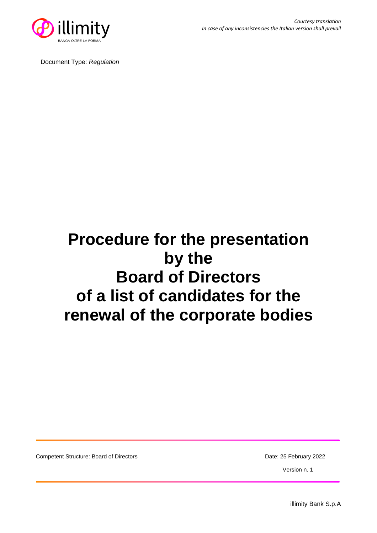

Document Type: *Regulation*

# **Procedure for the presentation by the Board of Directors of a list of candidates for the renewal of the corporate bodies**

Competent Structure: Board of Directors **Date: 25 February 2022** 

Version n. 1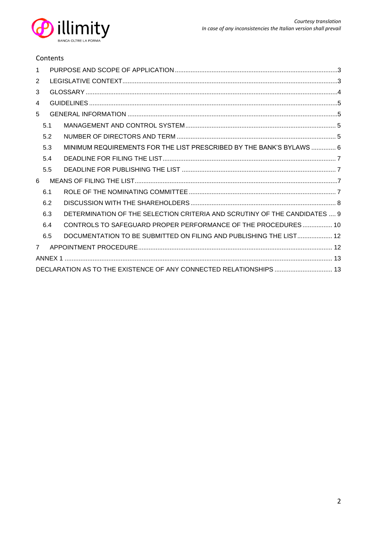

#### Contents

| 1 |     |  |                                                                           |  |  |  |
|---|-----|--|---------------------------------------------------------------------------|--|--|--|
| 2 |     |  |                                                                           |  |  |  |
| 3 |     |  |                                                                           |  |  |  |
| 4 |     |  |                                                                           |  |  |  |
| 5 |     |  |                                                                           |  |  |  |
|   | 5.1 |  |                                                                           |  |  |  |
|   | 5.2 |  |                                                                           |  |  |  |
|   | 5.3 |  | MINIMUM REQUIREMENTS FOR THE LIST PRESCRIBED BY THE BANK'S BYLAWS  6      |  |  |  |
|   | 5.4 |  |                                                                           |  |  |  |
|   | 5.5 |  |                                                                           |  |  |  |
| 6 |     |  |                                                                           |  |  |  |
|   | 6.1 |  |                                                                           |  |  |  |
|   | 6.2 |  |                                                                           |  |  |  |
|   | 6.3 |  | DETERMINATION OF THE SELECTION CRITERIA AND SCRUTINY OF THE CANDIDATES  9 |  |  |  |
|   | 6.4 |  | CONTROLS TO SAFEGUARD PROPER PERFORMANCE OF THE PROCEDURES 10             |  |  |  |
|   | 6.5 |  | DOCUMENTATION TO BE SUBMITTED ON FILING AND PUBLISHING THE LIST 12        |  |  |  |
| 7 |     |  |                                                                           |  |  |  |
|   |     |  |                                                                           |  |  |  |
|   |     |  |                                                                           |  |  |  |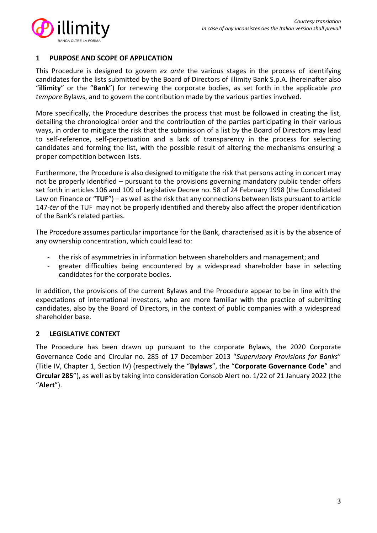

#### <span id="page-2-0"></span>**1 PURPOSE AND SCOPE OF APPLICATION**

This Procedure is designed to govern *ex ante* the various stages in the process of identifying candidates for the lists submitted by the Board of Directors of illimity Bank S.p.A. (hereinafter also "**illimity**" or the "**Bank**") for renewing the corporate bodies, as set forth in the applicable *pro tempore* Bylaws, and to govern the contribution made by the various parties involved.

More specifically, the Procedure describes the process that must be followed in creating the list, detailing the chronological order and the contribution of the parties participating in their various ways, in order to mitigate the risk that the submission of a list by the Board of Directors may lead to self-reference, self-perpetuation and a lack of transparency in the process for selecting candidates and forming the list, with the possible result of altering the mechanisms ensuring a proper competition between lists.

Furthermore, the Procedure is also designed to mitigate the risk that persons acting in concert may not be properly identified – pursuant to the provisions governing mandatory public tender offers set forth in articles 106 and 109 of Legislative Decree no. 58 of 24 February 1998 (the Consolidated Law on Finance or "**TUF**") – as well as the risk that any connections between lists pursuant to article 147-*ter* of the TUF may not be properly identified and thereby also affect the proper identification of the Bank's related parties.

The Procedure assumes particular importance for the Bank, characterised as it is by the absence of any ownership concentration, which could lead to:

- the risk of asymmetries in information between shareholders and management; and
- greater difficulties being encountered by a widespread shareholder base in selecting candidates for the corporate bodies.

In addition, the provisions of the current Bylaws and the Procedure appear to be in line with the expectations of international investors, who are more familiar with the practice of submitting candidates, also by the Board of Directors, in the context of public companies with a widespread shareholder base.

## <span id="page-2-1"></span>**2 LEGISLATIVE CONTEXT**

The Procedure has been drawn up pursuant to the corporate Bylaws, the 2020 Corporate Governance Code and Circular no. 285 of 17 December 2013 "*Supervisory Provisions for Banks*" (Title IV, Chapter 1, Section IV) (respectively the "**Bylaws**", the "**Corporate Governance Code**" and **Circular 285**"), as well as by taking into consideration Consob Alert no. 1/22 of 21 January 2022 (the "**Alert**").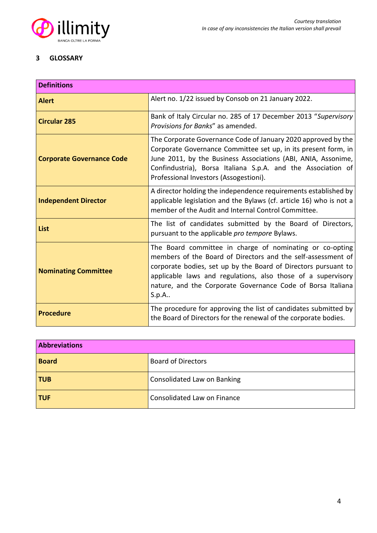

#### <span id="page-3-0"></span>**3 GLOSSARY**

| <b>Definitions</b>               |                                                                                                                                                                                                                                                                                                                                         |  |  |
|----------------------------------|-----------------------------------------------------------------------------------------------------------------------------------------------------------------------------------------------------------------------------------------------------------------------------------------------------------------------------------------|--|--|
| <b>Alert</b>                     | Alert no. 1/22 issued by Consob on 21 January 2022.                                                                                                                                                                                                                                                                                     |  |  |
| <b>Circular 285</b>              | Bank of Italy Circular no. 285 of 17 December 2013 "Supervisory<br>Provisions for Banks" as amended.                                                                                                                                                                                                                                    |  |  |
| <b>Corporate Governance Code</b> | The Corporate Governance Code of January 2020 approved by the<br>Corporate Governance Committee set up, in its present form, in<br>June 2011, by the Business Associations (ABI, ANIA, Assonime,<br>Confindustria), Borsa Italiana S.p.A. and the Association of<br>Professional Investors (Assogestioni).                              |  |  |
| <b>Independent Director</b>      | A director holding the independence requirements established by<br>applicable legislation and the Bylaws (cf. article 16) who is not a<br>member of the Audit and Internal Control Committee.                                                                                                                                           |  |  |
| List                             | The list of candidates submitted by the Board of Directors,<br>pursuant to the applicable pro tempore Bylaws.                                                                                                                                                                                                                           |  |  |
| <b>Nominating Committee</b>      | The Board committee in charge of nominating or co-opting<br>members of the Board of Directors and the self-assessment of<br>corporate bodies, set up by the Board of Directors pursuant to<br>applicable laws and regulations, also those of a supervisory<br>nature, and the Corporate Governance Code of Borsa Italiana<br>$S.p.A.$ . |  |  |
| <b>Procedure</b>                 | The procedure for approving the list of candidates submitted by<br>the Board of Directors for the renewal of the corporate bodies.                                                                                                                                                                                                      |  |  |

| <b>Abbreviations</b> |                             |  |
|----------------------|-----------------------------|--|
| <b>Board</b>         | <b>Board of Directors</b>   |  |
| <b>TUB</b>           | Consolidated Law on Banking |  |
| <b>TUF</b>           | Consolidated Law on Finance |  |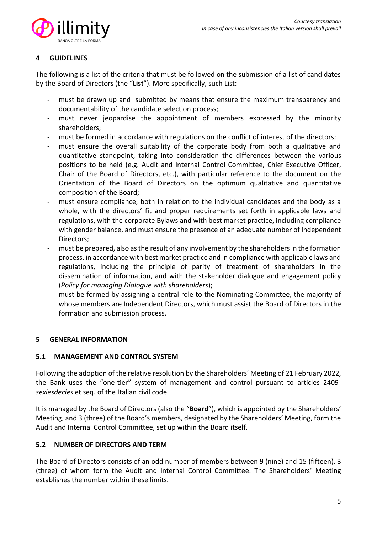

## <span id="page-4-0"></span>**4 GUIDELINES**

The following is a list of the criteria that must be followed on the submission of a list of candidates by the Board of Directors (the "**List**"). More specifically, such List:

- must be drawn up and submitted by means that ensure the maximum transparency and documentability of the candidate selection process;
- must never jeopardise the appointment of members expressed by the minority shareholders;
- must be formed in accordance with regulations on the conflict of interest of the directors;
- must ensure the overall suitability of the corporate body from both a qualitative and quantitative standpoint, taking into consideration the differences between the various positions to be held (e.g. Audit and Internal Control Committee, Chief Executive Officer, Chair of the Board of Directors, etc.), with particular reference to the document on the Orientation of the Board of Directors on the optimum qualitative and quantitative composition of the Board;
- must ensure compliance, both in relation to the individual candidates and the body as a whole, with the directors' fit and proper requirements set forth in applicable laws and regulations, with the corporate Bylaws and with best market practice, including compliance with gender balance, and must ensure the presence of an adequate number of Independent Directors;
- must be prepared, also as the result of any involvement by the shareholders in the formation process, in accordance with best market practice and in compliance with applicable laws and regulations, including the principle of parity of treatment of shareholders in the dissemination of information, and with the stakeholder dialogue and engagement policy (*Policy for managing Dialogue with shareholders*);
- must be formed by assigning a central role to the Nominating Committee, the majority of whose members are Independent Directors, which must assist the Board of Directors in the formation and submission process.

# <span id="page-4-1"></span>**5 GENERAL INFORMATION**

## <span id="page-4-2"></span>**5.1 MANAGEMENT AND CONTROL SYSTEM**

Following the adoption of the relative resolution by the Shareholders' Meeting of 21 February 2022, the Bank uses the "one-tier" system of management and control pursuant to articles 2409 *sexiesdecies* et seq. of the Italian civil code.

It is managed by the Board of Directors (also the "**Board**"), which is appointed by the Shareholders' Meeting, and 3 (three) of the Board's members, designated by the Shareholders' Meeting, form the Audit and Internal Control Committee, set up within the Board itself.

# <span id="page-4-3"></span>**5.2 NUMBER OF DIRECTORS AND TERM**

The Board of Directors consists of an odd number of members between 9 (nine) and 15 (fifteen), 3 (three) of whom form the Audit and Internal Control Committee. The Shareholders' Meeting establishes the number within these limits.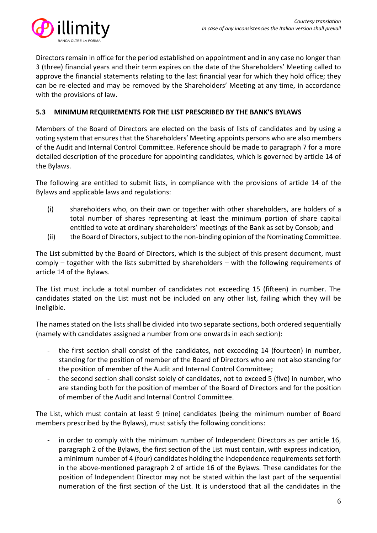

Directors remain in office for the period established on appointment and in any case no longer than 3 (three) financial years and their term expires on the date of the Shareholders' Meeting called to approve the financial statements relating to the last financial year for which they hold office; they can be re-elected and may be removed by the Shareholders' Meeting at any time, in accordance with the provisions of law.

## <span id="page-5-0"></span>**5.3 MINIMUM REQUIREMENTS FOR THE LIST PRESCRIBED BY THE BANK'S BYLAWS**

Members of the Board of Directors are elected on the basis of lists of candidates and by using a voting system that ensures that the Shareholders' Meeting appoints persons who are also members of the Audit and Internal Control Committee. Reference should be made to paragraph 7 for a more detailed description of the procedure for appointing candidates, which is governed by article 14 of the Bylaws.

The following are entitled to submit lists, in compliance with the provisions of article 14 of the Bylaws and applicable laws and regulations:

- (i) shareholders who, on their own or together with other shareholders, are holders of a total number of shares representing at least the minimum portion of share capital entitled to vote at ordinary shareholders' meetings of the Bank as set by Consob; and
- (ii) the Board of Directors, subject to the non-binding opinion of the Nominating Committee.

The List submitted by the Board of Directors, which is the subject of this present document, must comply – together with the lists submitted by shareholders – with the following requirements of article 14 of the Bylaws.

The List must include a total number of candidates not exceeding 15 (fifteen) in number. The candidates stated on the List must not be included on any other list, failing which they will be ineligible.

The names stated on the lists shall be divided into two separate sections, both ordered sequentially (namely with candidates assigned a number from one onwards in each section):

- the first section shall consist of the candidates, not exceeding 14 (fourteen) in number, standing for the position of member of the Board of Directors who are not also standing for the position of member of the Audit and Internal Control Committee;
- the second section shall consist solely of candidates, not to exceed 5 (five) in number, who are standing both for the position of member of the Board of Directors and for the position of member of the Audit and Internal Control Committee.

The List, which must contain at least 9 (nine) candidates (being the minimum number of Board members prescribed by the Bylaws), must satisfy the following conditions:

in order to comply with the minimum number of Independent Directors as per article 16, paragraph 2 of the Bylaws, the first section of the List must contain, with express indication, a minimum number of 4 (four) candidates holding the independence requirements set forth in the above-mentioned paragraph 2 of article 16 of the Bylaws. These candidates for the position of Independent Director may not be stated within the last part of the sequential numeration of the first section of the List. It is understood that all the candidates in the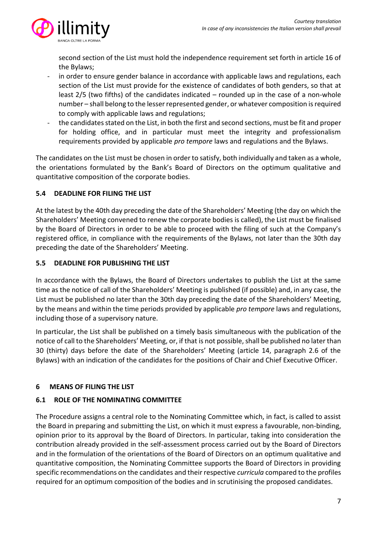

second section of the List must hold the independence requirement set forth in article 16 of the Bylaws;

- in order to ensure gender balance in accordance with applicable laws and regulations, each section of the List must provide for the existence of candidates of both genders, so that at least 2/5 (two fifths) of the candidates indicated – rounded up in the case of a non-whole number – shall belong to the lesser represented gender, or whatever composition is required to comply with applicable laws and regulations;
- the candidates stated on the List, in both the first and second sections, must be fit and proper for holding office, and in particular must meet the integrity and professionalism requirements provided by applicable *pro tempore* laws and regulations and the Bylaws.

The candidates on the List must be chosen in order to satisfy, both individually and taken as a whole, the orientations formulated by the Bank's Board of Directors on the optimum qualitative and quantitative composition of the corporate bodies.

# <span id="page-6-0"></span>**5.4 DEADLINE FOR FILING THE LIST**

At the latest by the 40th day preceding the date of the Shareholders' Meeting (the day on which the Shareholders' Meeting convened to renew the corporate bodies is called), the List must be finalised by the Board of Directors in order to be able to proceed with the filing of such at the Company's registered office, in compliance with the requirements of the Bylaws, not later than the 30th day preceding the date of the Shareholders' Meeting.

# <span id="page-6-1"></span>**5.5 DEADLINE FOR PUBLISHING THE LIST**

In accordance with the Bylaws, the Board of Directors undertakes to publish the List at the same time as the notice of call of the Shareholders' Meeting is published (if possible) and, in any case, the List must be published no later than the 30th day preceding the date of the Shareholders' Meeting, by the means and within the time periods provided by applicable *pro tempore* laws and regulations, including those of a supervisory nature.

In particular, the List shall be published on a timely basis simultaneous with the publication of the notice of call to the Shareholders' Meeting, or, if that is not possible, shall be published no later than 30 (thirty) days before the date of the Shareholders' Meeting (article 14, paragraph 2.6 of the Bylaws) with an indication of the candidates for the positions of Chair and Chief Executive Officer.

# <span id="page-6-2"></span>**6 MEANS OF FILING THE LIST**

# <span id="page-6-3"></span>**6.1 ROLE OF THE NOMINATING COMMITTEE**

The Procedure assigns a central role to the Nominating Committee which, in fact, is called to assist the Board in preparing and submitting the List, on which it must express a favourable, non-binding, opinion prior to its approval by the Board of Directors. In particular, taking into consideration the contribution already provided in the self-assessment process carried out by the Board of Directors and in the formulation of the orientations of the Board of Directors on an optimum qualitative and quantitative composition, the Nominating Committee supports the Board of Directors in providing specific recommendations on the candidates and their respective *curricula* compared to the profiles required for an optimum composition of the bodies and in scrutinising the proposed candidates.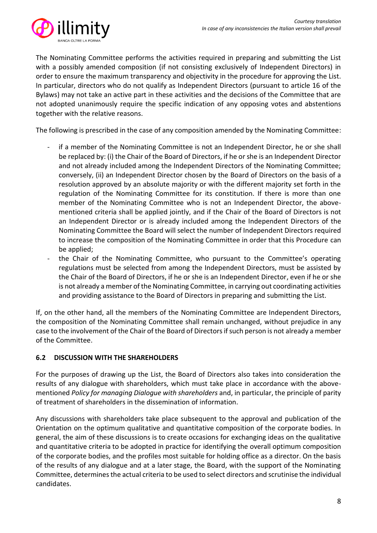

The Nominating Committee performs the activities required in preparing and submitting the List with a possibly amended composition (if not consisting exclusively of Independent Directors) in order to ensure the maximum transparency and objectivity in the procedure for approving the List. In particular, directors who do not qualify as Independent Directors (pursuant to article 16 of the Bylaws) may not take an active part in these activities and the decisions of the Committee that are not adopted unanimously require the specific indication of any opposing votes and abstentions together with the relative reasons.

The following is prescribed in the case of any composition amended by the Nominating Committee:

- if a member of the Nominating Committee is not an Independent Director, he or she shall be replaced by: (i) the Chair of the Board of Directors, if he or she is an Independent Director and not already included among the Independent Directors of the Nominating Committee; conversely, (ii) an Independent Director chosen by the Board of Directors on the basis of a resolution approved by an absolute majority or with the different majority set forth in the regulation of the Nominating Committee for its constitution. If there is more than one member of the Nominating Committee who is not an Independent Director, the abovementioned criteria shall be applied jointly, and if the Chair of the Board of Directors is not an Independent Director or is already included among the Independent Directors of the Nominating Committee the Board will select the number of Independent Directors required to increase the composition of the Nominating Committee in order that this Procedure can be applied;
- the Chair of the Nominating Committee, who pursuant to the Committee's operating regulations must be selected from among the Independent Directors, must be assisted by the Chair of the Board of Directors, if he or she is an Independent Director, even if he or she is not already a member of the Nominating Committee, in carrying out coordinating activities and providing assistance to the Board of Directors in preparing and submitting the List.

If, on the other hand, all the members of the Nominating Committee are Independent Directors, the composition of the Nominating Committee shall remain unchanged, without prejudice in any case to the involvement of the Chair of the Board of Directors if such person is not already a member of the Committee.

# <span id="page-7-0"></span>**6.2 DISCUSSION WITH THE SHAREHOLDERS**

For the purposes of drawing up the List, the Board of Directors also takes into consideration the results of any dialogue with shareholders, which must take place in accordance with the abovementioned *Policy for managing Dialogue with shareholders* and, in particular, the principle of parity of treatment of shareholders in the dissemination of information.

Any discussions with shareholders take place subsequent to the approval and publication of the Orientation on the optimum qualitative and quantitative composition of the corporate bodies. In general, the aim of these discussions is to create occasions for exchanging ideas on the qualitative and quantitative criteria to be adopted in practice for identifying the overall optimum composition of the corporate bodies, and the profiles most suitable for holding office as a director. On the basis of the results of any dialogue and at a later stage, the Board, with the support of the Nominating Committee, determines the actual criteria to be used to select directors and scrutinise the individual candidates.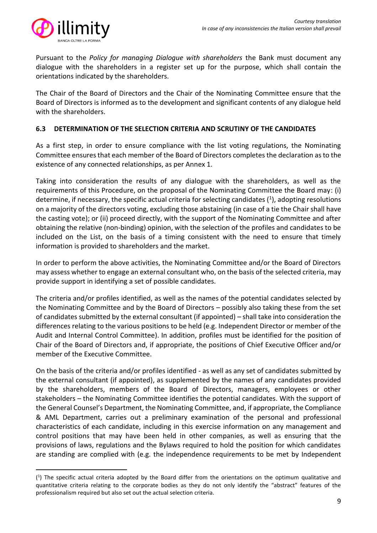

Pursuant to the *Policy for managing Dialogue with shareholders* the Bank must document any dialogue with the shareholders in a register set up for the purpose, which shall contain the orientations indicated by the shareholders.

The Chair of the Board of Directors and the Chair of the Nominating Committee ensure that the Board of Directors is informed as to the development and significant contents of any dialogue held with the shareholders.

## <span id="page-8-0"></span>**6.3 DETERMINATION OF THE SELECTION CRITERIA AND SCRUTINY OF THE CANDIDATES**

As a first step, in order to ensure compliance with the list voting regulations, the Nominating Committee ensures that each member of the Board of Directors completes the declaration as to the existence of any connected relationships, as per Annex 1.

Taking into consideration the results of any dialogue with the shareholders, as well as the requirements of this Procedure, on the proposal of the Nominating Committee the Board may: (i) determine, if necessary, the specific actual criteria for selecting candidates  $(1)$ , adopting resolutions on a majority of the directors voting, excluding those abstaining (in case of a tie the Chair shall have the casting vote); or (ii) proceed directly, with the support of the Nominating Committee and after obtaining the relative (non-binding) opinion, with the selection of the profiles and candidates to be included on the List, on the basis of a timing consistent with the need to ensure that timely information is provided to shareholders and the market.

In order to perform the above activities, the Nominating Committee and/or the Board of Directors may assess whether to engage an external consultant who, on the basis of the selected criteria, may provide support in identifying a set of possible candidates.

The criteria and/or profiles identified, as well as the names of the potential candidates selected by the Nominating Committee and by the Board of Directors – possibly also taking these from the set of candidates submitted by the external consultant (if appointed) – shall take into consideration the differences relating to the various positions to be held (e.g. Independent Director or member of the Audit and Internal Control Committee). In addition, profiles must be identified for the position of Chair of the Board of Directors and, if appropriate, the positions of Chief Executive Officer and/or member of the Executive Committee.

On the basis of the criteria and/or profiles identified - as well as any set of candidates submitted by the external consultant (if appointed), as supplemented by the names of any candidates provided by the shareholders, members of the Board of Directors, managers, employees or other stakeholders – the Nominating Committee identifies the potential candidates. With the support of the General Counsel's Department, the Nominating Committee, and, if appropriate, the Compliance & AML Department, carries out a preliminary examination of the personal and professional characteristics of each candidate, including in this exercise information on any management and control positions that may have been held in other companies, as well as ensuring that the provisions of laws, regulations and the Bylaws required to hold the position for which candidates are standing are complied with (e.g. the independence requirements to be met by Independent

<sup>(</sup> 1 ) The specific actual criteria adopted by the Board differ from the orientations on the optimum qualitative and quantitative criteria relating to the corporate bodies as they do not only identify the "abstract" features of the professionalism required but also set out the actual selection criteria.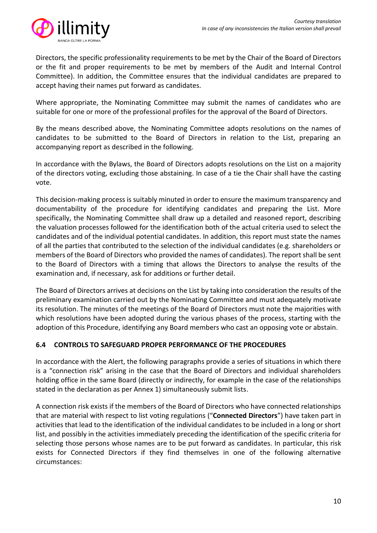

Directors, the specific professionality requirements to be met by the Chair of the Board of Directors or the fit and proper requirements to be met by members of the Audit and Internal Control Committee). In addition, the Committee ensures that the individual candidates are prepared to accept having their names put forward as candidates.

Where appropriate, the Nominating Committee may submit the names of candidates who are suitable for one or more of the professional profiles for the approval of the Board of Directors.

By the means described above, the Nominating Committee adopts resolutions on the names of candidates to be submitted to the Board of Directors in relation to the List, preparing an accompanying report as described in the following.

In accordance with the Bylaws, the Board of Directors adopts resolutions on the List on a majority of the directors voting, excluding those abstaining. In case of a tie the Chair shall have the casting vote.

This decision-making process is suitably minuted in order to ensure the maximum transparency and documentability of the procedure for identifying candidates and preparing the List. More specifically, the Nominating Committee shall draw up a detailed and reasoned report, describing the valuation processes followed for the identification both of the actual criteria used to select the candidates and of the individual potential candidates. In addition, this report must state the names of all the parties that contributed to the selection of the individual candidates (e.g. shareholders or members of the Board of Directors who provided the names of candidates). The report shall be sent to the Board of Directors with a timing that allows the Directors to analyse the results of the examination and, if necessary, ask for additions or further detail.

The Board of Directors arrives at decisions on the List by taking into consideration the results of the preliminary examination carried out by the Nominating Committee and must adequately motivate its resolution. The minutes of the meetings of the Board of Directors must note the majorities with which resolutions have been adopted during the various phases of the process, starting with the adoption of this Procedure, identifying any Board members who cast an opposing vote or abstain.

# <span id="page-9-0"></span>**6.4 CONTROLS TO SAFEGUARD PROPER PERFORMANCE OF THE PROCEDURES**

In accordance with the Alert, the following paragraphs provide a series of situations in which there is a "connection risk" arising in the case that the Board of Directors and individual shareholders holding office in the same Board (directly or indirectly, for example in the case of the relationships stated in the declaration as per Annex 1) simultaneously submit lists.

A connection risk exists if the members of the Board of Directors who have connected relationships that are material with respect to list voting regulations ("**Connected Directors**") have taken part in activities that lead to the identification of the individual candidates to be included in a long or short list, and possibly in the activities immediately preceding the identification of the specific criteria for selecting those persons whose names are to be put forward as candidates. In particular, this risk exists for Connected Directors if they find themselves in one of the following alternative circumstances: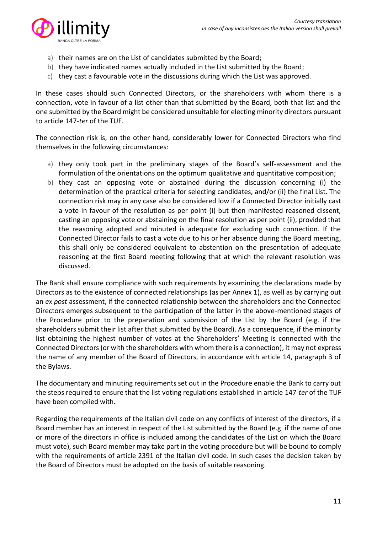

- a) their names are on the List of candidates submitted by the Board;
- b) they have indicated names actually included in the List submitted by the Board;
- c) they cast a favourable vote in the discussions during which the List was approved.

In these cases should such Connected Directors, or the shareholders with whom there is a connection, vote in favour of a list other than that submitted by the Board, both that list and the one submitted by the Board might be considered unsuitable for electing minority directors pursuant to article 147-*ter* of the TUF.

The connection risk is, on the other hand, considerably lower for Connected Directors who find themselves in the following circumstances:

- a) they only took part in the preliminary stages of the Board's self-assessment and the formulation of the orientations on the optimum qualitative and quantitative composition;
- b) they cast an opposing vote or abstained during the discussion concerning (i) the determination of the practical criteria for selecting candidates, and/or (ii) the final List. The connection risk may in any case also be considered low if a Connected Director initially cast a vote in favour of the resolution as per point (i) but then manifested reasoned dissent, casting an opposing vote or abstaining on the final resolution as per point (ii), provided that the reasoning adopted and minuted is adequate for excluding such connection. If the Connected Director fails to cast a vote due to his or her absence during the Board meeting, this shall only be considered equivalent to abstention on the presentation of adequate reasoning at the first Board meeting following that at which the relevant resolution was discussed.

The Bank shall ensure compliance with such requirements by examining the declarations made by Directors as to the existence of connected relationships (as per Annex 1), as well as by carrying out an *ex post* assessment, if the connected relationship between the shareholders and the Connected Directors emerges subsequent to the participation of the latter in the above-mentioned stages of the Procedure prior to the preparation and submission of the List by the Board (e.g. if the shareholders submit their list after that submitted by the Board). As a consequence, if the minority list obtaining the highest number of votes at the Shareholders' Meeting is connected with the Connected Directors (or with the shareholders with whom there is a connection), it may not express the name of any member of the Board of Directors, in accordance with article 14, paragraph 3 of the Bylaws.

The documentary and minuting requirements set out in the Procedure enable the Bank to carry out the steps required to ensure that the list voting regulations established in article 147-*ter* of the TUF have been complied with.

Regarding the requirements of the Italian civil code on any conflicts of interest of the directors, if a Board member has an interest in respect of the List submitted by the Board (e.g. if the name of one or more of the directors in office is included among the candidates of the List on which the Board must vote), such Board member may take part in the voting procedure but will be bound to comply with the requirements of article 2391 of the Italian civil code. In such cases the decision taken by the Board of Directors must be adopted on the basis of suitable reasoning.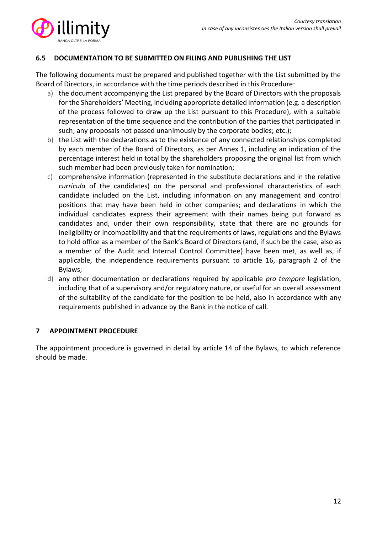

## <span id="page-11-0"></span>**6.5 DOCUMENTATION TO BE SUBMITTED ON FILING AND PUBLISHING THE LIST**

The following documents must be prepared and published together with the List submitted by the Board of Directors, in accordance with the time periods described in this Procedure:

- a) the document accompanying the List prepared by the Board of Directors with the proposals for the Shareholders' Meeting, including appropriate detailed information (e.g. a description of the process followed to draw up the List pursuant to this Procedure), with a suitable representation of the time sequence and the contribution of the parties that participated in such; any proposals not passed unanimously by the corporate bodies; etc.);
- b) the List with the declarations as to the existence of any connected relationships completed by each member of the Board of Directors, as per Annex 1, including an indication of the percentage interest held in total by the shareholders proposing the original list from which such member had been previously taken for nomination;
- c) comprehensive information (represented in the substitute declarations and in the relative *curricula* of the candidates) on the personal and professional characteristics of each candidate included on the List, including information on any management and control positions that may have been held in other companies; and declarations in which the individual candidates express their agreement with their names being put forward as candidates and, under their own responsibility, state that there are no grounds for ineligibility or incompatibility and that the requirements of laws, regulations and the Bylaws to hold office as a member of the Bank's Board of Directors (and, if such be the case, also as a member of the Audit and Internal Control Committee) have been met, as well as, if applicable, the independence requirements pursuant to article 16, paragraph 2 of the Bylaws;
- d) any other documentation or declarations required by applicable *pro tempore* legislation, including that of a supervisory and/or regulatory nature, or useful for an overall assessment of the suitability of the candidate for the position to be held, also in accordance with any requirements published in advance by the Bank in the notice of call.

## <span id="page-11-1"></span>**7 APPOINTMENT PROCEDURE**

The appointment procedure is governed in detail by article 14 of the Bylaws, to which reference should be made.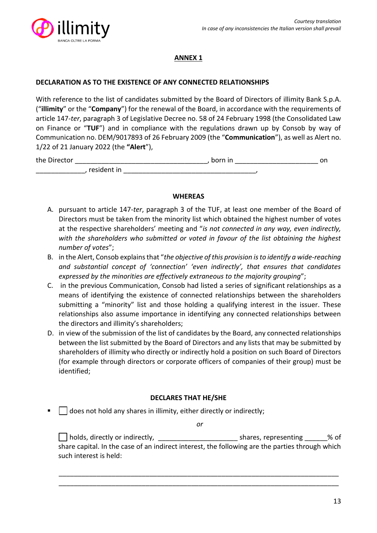

# **ANNEX 1**

## <span id="page-12-1"></span><span id="page-12-0"></span>**DECLARATION AS TO THE EXISTENCE OF ANY CONNECTED RELATIONSHIPS**

With reference to the list of candidates submitted by the Board of Directors of illimity Bank S.p.A. ("**illimity**" or the "**Company**") for the renewal of the Board, in accordance with the requirements of article 147-*ter*, paragraph 3 of Legislative Decree no. 58 of 24 February 1998 (the Consolidated Law on Finance or "**TUF**") and in compliance with the regulations drawn up by Consob by way of Communication no. DEM/9017893 of 26 February 2009 (the "**Communication**"), as well as Alert no. 1/22 of 21 January 2022 (the **"Alert**"),

| the Director |             | born in | on |
|--------------|-------------|---------|----|
|              | resident in |         |    |

#### **WHEREAS**

- A. pursuant to article 147-*ter*, paragraph 3 of the TUF, at least one member of the Board of Directors must be taken from the minority list which obtained the highest number of votes at the respective shareholders' meeting and "*is not connected in any way, even indirectly, with the shareholders who submitted or voted in favour of the list obtaining the highest number of votes*";
- B. in the Alert, Consob explains that "*the objective of this provision is to identify a wide-reaching and substantial concept of 'connection' 'even indirectly', that ensures that candidates expressed by the minorities are effectively extraneous to the majority grouping*";
- C. in the previous Communication, Consob had listed a series of significant relationships as a means of identifying the existence of connected relationships between the shareholders submitting a "minority" list and those holding a qualifying interest in the issuer. These relationships also assume importance in identifying any connected relationships between the directors and illimity's shareholders;
- D. in view of the submission of the list of candidates by the Board, any connected relationships between the list submitted by the Board of Directors and any lists that may be submitted by shareholders of illimity who directly or indirectly hold a position on such Board of Directors (for example through directors or corporate officers of companies of their group) must be identified;

## **DECLARES THAT HE/SHE**

 $\Box$  does not hold any shares in illimity, either directly or indirectly;

*or*

holds, directly or indirectly, \_\_\_\_\_\_\_\_\_\_\_\_\_\_\_\_\_\_\_\_\_ shares, representing \_\_\_\_\_\_% of share capital. In the case of an indirect interest, the following are the parties through which such interest is held:

\_\_\_\_\_\_\_\_\_\_\_\_\_\_\_\_\_\_\_\_\_\_\_\_\_\_\_\_\_\_\_\_\_\_\_\_\_\_\_\_\_\_\_\_\_\_\_\_\_\_\_\_\_\_\_\_\_\_\_\_\_\_\_\_\_\_\_\_\_\_\_\_\_\_ \_\_\_\_\_\_\_\_\_\_\_\_\_\_\_\_\_\_\_\_\_\_\_\_\_\_\_\_\_\_\_\_\_\_\_\_\_\_\_\_\_\_\_\_\_\_\_\_\_\_\_\_\_\_\_\_\_\_\_\_\_\_\_\_\_\_\_\_\_\_\_\_\_\_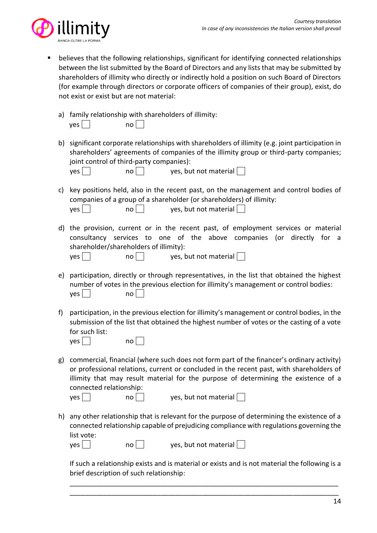

- believes that the following relationships, significant for identifying connected relationships between the list submitted by the Board of Directors and any lists that may be submitted by shareholders of illimity who directly or indirectly hold a position on such Board of Directors (for example through directors or corporate officers of companies of their group), exist, do not exist or exist but are not material:
	- a) family relationship with shareholders of illimity:  $\mathsf{yes} \hspace{.} \square$  no  $\square$
	- b) significant corporate relationships with shareholders of illimity (e.g. joint participation in shareholders' agreements of companies of the illimity group or third-party companies; joint control of third-party companies):

| yes | no I | yes, but not material |  |
|-----|------|-----------------------|--|
|     |      |                       |  |

- c) key positions held, also in the recent past, on the management and control bodies of companies of a group of a shareholder (or shareholders) of illimity: yes | | | | | | | | | yes, but not material | |
- d) the provision, current or in the recent past, of employment services or material consultancy services to one of the above companies (or directly for a shareholder/shareholders of illimity):

| $\epsilon$ |  |  |
|------------|--|--|
|            |  |  |

| yes | $\mathsf{no} \Box$ | yes, but not material $\Box$ |
|-----|--------------------|------------------------------|

- e) participation, directly or through representatives, in the list that obtained the highest number of votes in the previous election for illimity's management or control bodies:  $\mathsf{yes}$  |  $\mathsf{no}$  | |
- f) participation, in the previous election for illimity's management or control bodies, in the submission of the list that obtained the highest number of votes or the casting of a vote for such list:

| ves l |  |  | no |
|-------|--|--|----|
|-------|--|--|----|

g) commercial, financial (where such does not form part of the financer's ordinary activity) or professional relations, current or concluded in the recent past, with shareholders of illimity that may result material for the purpose of determining the existence of a connected relationship:

| yes | no | yes, but not material $\Box$ |
|-----|----|------------------------------|
|-----|----|------------------------------|

h) any other relationship that is relevant for the purpose of determining the existence of a connected relationship capable of prejudicing compliance with regulations governing the list vote:  $\{ y \in S \}$  | no | | yes, but not material | |

If such a relationship exists and is material or exists and is not material the following is a brief description of such relationship:

\_\_\_\_\_\_\_\_\_\_\_\_\_\_\_\_\_\_\_\_\_\_\_\_\_\_\_\_\_\_\_\_\_\_\_\_\_\_\_\_\_\_\_\_\_\_\_\_\_\_\_\_\_\_\_\_\_\_\_\_\_\_\_\_\_\_\_\_\_\_\_ \_\_\_\_\_\_\_\_\_\_\_\_\_\_\_\_\_\_\_\_\_\_\_\_\_\_\_\_\_\_\_\_\_\_\_\_\_\_\_\_\_\_\_\_\_\_\_\_\_\_\_\_\_\_\_\_\_\_\_\_\_\_\_\_\_\_\_\_\_\_\_